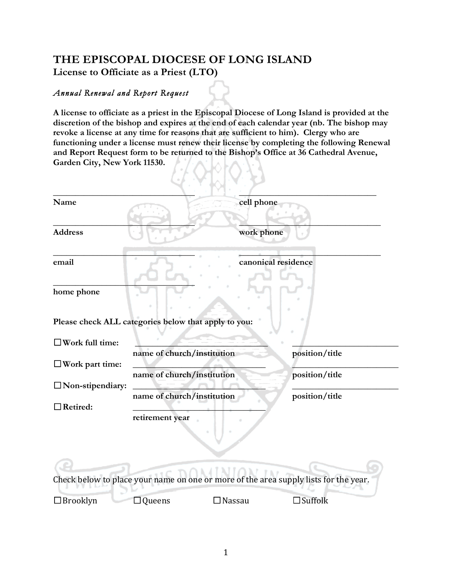## **THE EPISCOPAL DIOCESE OF LONG ISLAND License to Officiate as a Priest (LTO)**

## *Annual Renewal and Report Request*

**A license to officiate as a priest in the Episcopal Diocese of Long Island is provided at the discretion of the bishop and expires at the end of each calendar year (nb. The bishop may revoke a license at any time for reasons that are sufficient to him). Clergy who are functioning under a license must renew their license by completing the following Renewal and Report Request form to be returned to the Bishop's Office at 36 Cathedral Avenue, Garden City, New York 11530.** 

| Name                                                 |                            | cell phone          |                                                                                      |  |  |
|------------------------------------------------------|----------------------------|---------------------|--------------------------------------------------------------------------------------|--|--|
| <b>Address</b>                                       |                            | work phone          |                                                                                      |  |  |
| email                                                |                            | canonical residence |                                                                                      |  |  |
| home phone                                           |                            |                     |                                                                                      |  |  |
| Please check ALL categories below that apply to you: |                            |                     |                                                                                      |  |  |
| $\Box$ Work full time:                               | name of church/institution |                     | position/title                                                                       |  |  |
| $\Box$ Work part time:                               |                            |                     |                                                                                      |  |  |
| $\Box$ Non-stipendiary:                              | name of church/institution |                     | position/title                                                                       |  |  |
| $\Box$ Retired:                                      | name of church/institution |                     | position/title                                                                       |  |  |
|                                                      | retirement year            |                     |                                                                                      |  |  |
|                                                      |                            |                     | Check below to place your name on one or more of the area supply lists for the year. |  |  |
| $\Box$ Brooklyn                                      | Queens                     | Nassau              | $\Box$ Suffolk                                                                       |  |  |